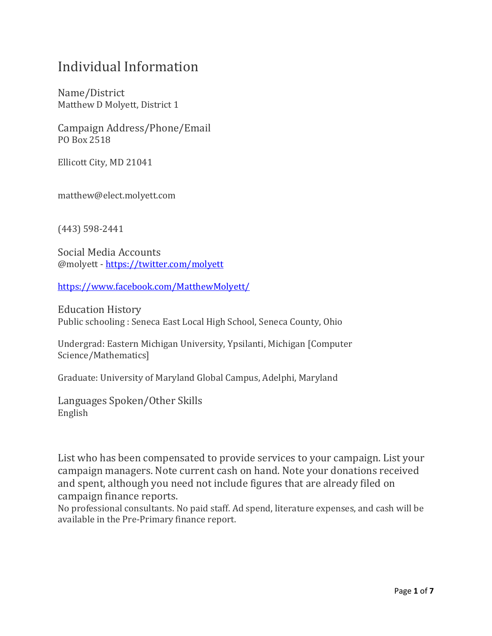## Individual Information

Name/District Matthew D Molyett, District 1

Campaign Address/Phone/Email PO Box 2518

Ellicott City, MD 21041

matthew@elect.molyett.com

(443) 598-2441

Social Media Accounts @molyett - <https://twitter.com/molyett>

<https://www.facebook.com/MatthewMolyett/>

Education History Public schooling : Seneca East Local High School, Seneca County, Ohio

Undergrad: Eastern Michigan University, Ypsilanti, Michigan [Computer Science/Mathematics]

Graduate: University of Maryland Global Campus, Adelphi, Maryland

Languages Spoken/Other Skills English

List who has been compensated to provide services to your campaign. List your campaign managers. Note current cash on hand. Note your donations received and spent, although you need not include figures that are already filed on campaign finance reports.

No professional consultants. No paid staff. Ad spend, literature expenses, and cash will be available in the Pre-Primary finance report.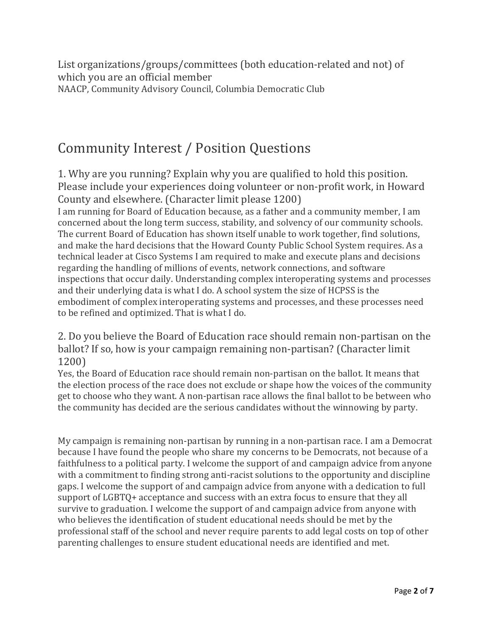List organizations/groups/committees (both education-related and not) of which you are an official member NAACP, Community Advisory Council, Columbia Democratic Club

## Community Interest / Position Questions

1. Why are you running? Explain why you are qualified to hold this position. Please include your experiences doing volunteer or non-profit work, in Howard County and elsewhere. (Character limit please 1200)

I am running for Board of Education because, as a father and a community member, I am concerned about the long term success, stability, and solvency of our community schools. The current Board of Education has shown itself unable to work together, find solutions, and make the hard decisions that the Howard County Public School System requires. As a technical leader at Cisco Systems I am required to make and execute plans and decisions regarding the handling of millions of events, network connections, and software inspections that occur daily. Understanding complex interoperating systems and processes and their underlying data is what I do. A school system the size of HCPSS is the embodiment of complex interoperating systems and processes, and these processes need to be refined and optimized. That is what I do.

2. Do you believe the Board of Education race should remain non-partisan on the ballot? If so, how is your campaign remaining non-partisan? (Character limit 1200)

Yes, the Board of Education race should remain non-partisan on the ballot. It means that the election process of the race does not exclude or shape how the voices of the community get to choose who they want. A non-partisan race allows the final ballot to be between who the community has decided are the serious candidates without the winnowing by party.

My campaign is remaining non-partisan by running in a non-partisan race. I am a Democrat because I have found the people who share my concerns to be Democrats, not because of a faithfulness to a political party. I welcome the support of and campaign advice from anyone with a commitment to finding strong anti-racist solutions to the opportunity and discipline gaps. I welcome the support of and campaign advice from anyone with a dedication to full support of LGBTQ+ acceptance and success with an extra focus to ensure that they all survive to graduation. I welcome the support of and campaign advice from anyone with who believes the identification of student educational needs should be met by the professional staff of the school and never require parents to add legal costs on top of other parenting challenges to ensure student educational needs are identified and met.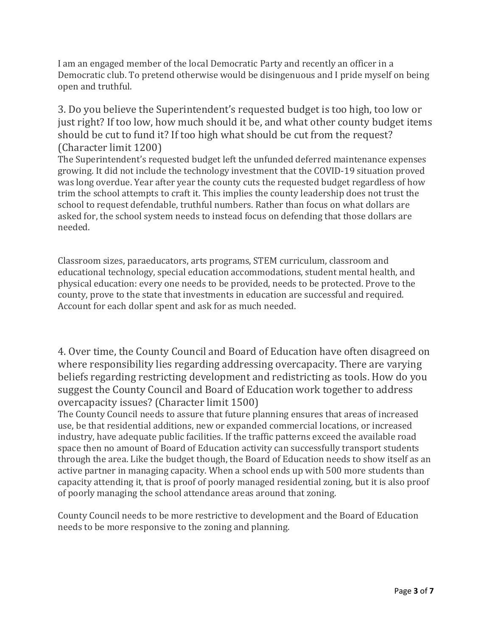I am an engaged member of the local Democratic Party and recently an officer in a Democratic club. To pretend otherwise would be disingenuous and I pride myself on being open and truthful.

3. Do you believe the Superintendent's requested budget is too high, too low or just right? If too low, how much should it be, and what other county budget items should be cut to fund it? If too high what should be cut from the request? (Character limit 1200)

The Superintendent's requested budget left the unfunded deferred maintenance expenses growing. It did not include the technology investment that the COVID-19 situation proved was long overdue. Year after year the county cuts the requested budget regardless of how trim the school attempts to craft it. This implies the county leadership does not trust the school to request defendable, truthful numbers. Rather than focus on what dollars are asked for, the school system needs to instead focus on defending that those dollars are needed.

Classroom sizes, paraeducators, arts programs, STEM curriculum, classroom and educational technology, special education accommodations, student mental health, and physical education: every one needs to be provided, needs to be protected. Prove to the county, prove to the state that investments in education are successful and required. Account for each dollar spent and ask for as much needed.

4. Over time, the County Council and Board of Education have often disagreed on where responsibility lies regarding addressing overcapacity. There are varying beliefs regarding restricting development and redistricting as tools. How do you suggest the County Council and Board of Education work together to address overcapacity issues? (Character limit 1500)

The County Council needs to assure that future planning ensures that areas of increased use, be that residential additions, new or expanded commercial locations, or increased industry, have adequate public facilities. If the traffic patterns exceed the available road space then no amount of Board of Education activity can successfully transport students through the area. Like the budget though, the Board of Education needs to show itself as an active partner in managing capacity. When a school ends up with 500 more students than capacity attending it, that is proof of poorly managed residential zoning, but it is also proof of poorly managing the school attendance areas around that zoning.

County Council needs to be more restrictive to development and the Board of Education needs to be more responsive to the zoning and planning.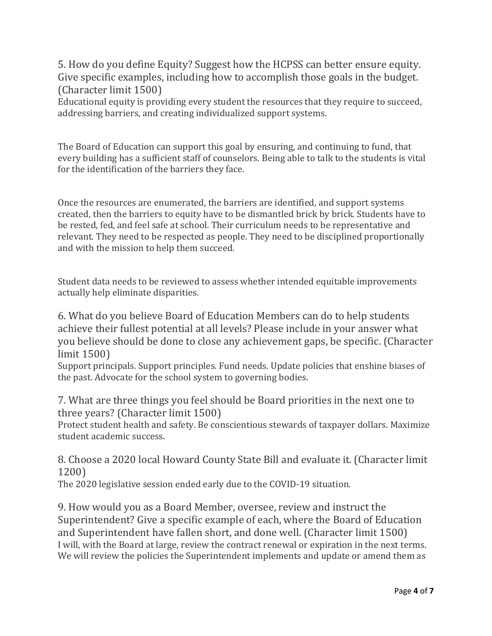5. How do you define Equity? Suggest how the HCPSS can better ensure equity. Give specific examples, including how to accomplish those goals in the budget. (Character limit 1500)

Educational equity is providing every student the resources that they require to succeed, addressing barriers, and creating individualized support systems.

The Board of Education can support this goal by ensuring, and continuing to fund, that every building has a sufficient staff of counselors. Being able to talk to the students is vital for the identification of the barriers they face.

Once the resources are enumerated, the barriers are identified, and support systems created, then the barriers to equity have to be dismantled brick by brick. Students have to be rested, fed, and feel safe at school. Their curriculum needs to be representative and relevant. They need to be respected as people. They need to be disciplined proportionally and with the mission to help them succeed.

Student data needs to be reviewed to assess whether intended equitable improvements actually help eliminate disparities.

6. What do you believe Board of Education Members can do to help students achieve their fullest potential at all levels? Please include in your answer what you believe should be done to close any achievement gaps, be specific. (Character limit 1500)

Support principals. Support principles. Fund needs. Update policies that enshine biases of the past. Advocate for the school system to governing bodies.

7. What are three things you feel should be Board priorities in the next one to three years? (Character limit 1500)

Protect student health and safety. Be conscientious stewards of taxpayer dollars. Maximize student academic success.

8. Choose a 2020 local Howard County State Bill and evaluate it. (Character limit 1200)

The 2020 legislative session ended early due to the COVID-19 situation.

9. How would you as a Board Member, oversee, review and instruct the Superintendent? Give a specific example of each, where the Board of Education and Superintendent have fallen short, and done well. (Character limit 1500) I will, with the Board at large, review the contract renewal or expiration in the next terms. We will review the policies the Superintendent implements and update or amend them as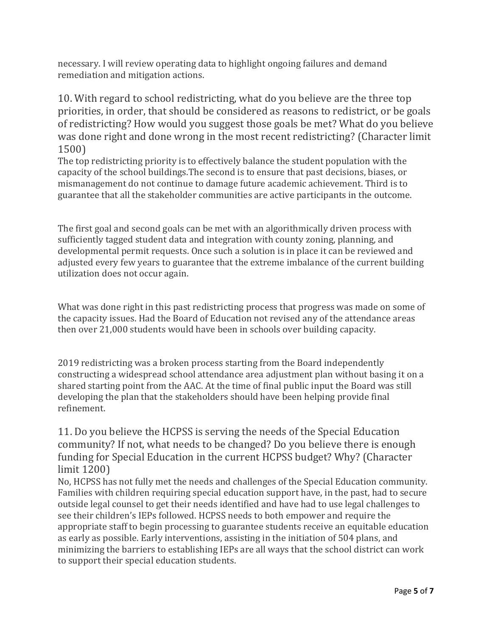necessary. I will review operating data to highlight ongoing failures and demand remediation and mitigation actions.

10. With regard to school redistricting, what do you believe are the three top priorities, in order, that should be considered as reasons to redistrict, or be goals of redistricting? How would you suggest those goals be met? What do you believe was done right and done wrong in the most recent redistricting? (Character limit 1500)

The top redistricting priority is to effectively balance the student population with the capacity of the school buildings.The second is to ensure that past decisions, biases, or mismanagement do not continue to damage future academic achievement. Third is to guarantee that all the stakeholder communities are active participants in the outcome.

The first goal and second goals can be met with an algorithmically driven process with sufficiently tagged student data and integration with county zoning, planning, and developmental permit requests. Once such a solution is in place it can be reviewed and adjusted every few years to guarantee that the extreme imbalance of the current building utilization does not occur again.

What was done right in this past redistricting process that progress was made on some of the capacity issues. Had the Board of Education not revised any of the attendance areas then over 21,000 students would have been in schools over building capacity.

2019 redistricting was a broken process starting from the Board independently constructing a widespread school attendance area adjustment plan without basing it on a shared starting point from the AAC. At the time of final public input the Board was still developing the plan that the stakeholders should have been helping provide final refinement.

11. Do you believe the HCPSS is serving the needs of the Special Education community? If not, what needs to be changed? Do you believe there is enough funding for Special Education in the current HCPSS budget? Why? (Character limit 1200)

No, HCPSS has not fully met the needs and challenges of the Special Education community. Families with children requiring special education support have, in the past, had to secure outside legal counsel to get their needs identified and have had to use legal challenges to see their children's IEPs followed. HCPSS needs to both empower and require the appropriate staff to begin processing to guarantee students receive an equitable education as early as possible. Early interventions, assisting in the initiation of 504 plans, and minimizing the barriers to establishing IEPs are all ways that the school district can work to support their special education students.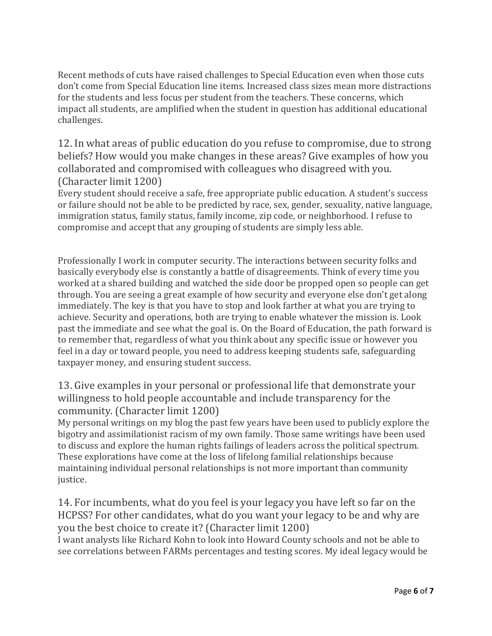Recent methods of cuts have raised challenges to Special Education even when those cuts don't come from Special Education line items. Increased class sizes mean more distractions for the students and less focus per student from the teachers. These concerns, which impact all students, are amplified when the student in question has additional educational challenges.

12. In what areas of public education do you refuse to compromise, due to strong beliefs? How would you make changes in these areas? Give examples of how you collaborated and compromised with colleagues who disagreed with you. (Character limit 1200)

Every student should receive a safe, free appropriate public education. A student's success or failure should not be able to be predicted by race, sex, gender, sexuality, native language, immigration status, family status, family income, zip code, or neighborhood. I refuse to compromise and accept that any grouping of students are simply less able.

Professionally I work in computer security. The interactions between security folks and basically everybody else is constantly a battle of disagreements. Think of every time you worked at a shared building and watched the side door be propped open so people can get through. You are seeing a great example of how security and everyone else don't get along immediately. The key is that you have to stop and look farther at what you are trying to achieve. Security and operations, both are trying to enable whatever the mission is. Look past the immediate and see what the goal is. On the Board of Education, the path forward is to remember that, regardless of what you think about any specific issue or however you feel in a day or toward people, you need to address keeping students safe, safeguarding taxpayer money, and ensuring student success.

## 13. Give examples in your personal or professional life that demonstrate your willingness to hold people accountable and include transparency for the community. (Character limit 1200)

My personal writings on my blog the past few years have been used to publicly explore the bigotry and assimilationist racism of my own family. Those same writings have been used to discuss and explore the human rights failings of leaders across the political spectrum. These explorations have come at the loss of lifelong familial relationships because maintaining individual personal relationships is not more important than community justice.

14. For incumbents, what do you feel is your legacy you have left so far on the HCPSS? For other candidates, what do you want your legacy to be and why are you the best choice to create it? (Character limit 1200)

I want analysts like Richard Kohn to look into Howard County schools and not be able to see correlations between FARMs percentages and testing scores. My ideal legacy would be